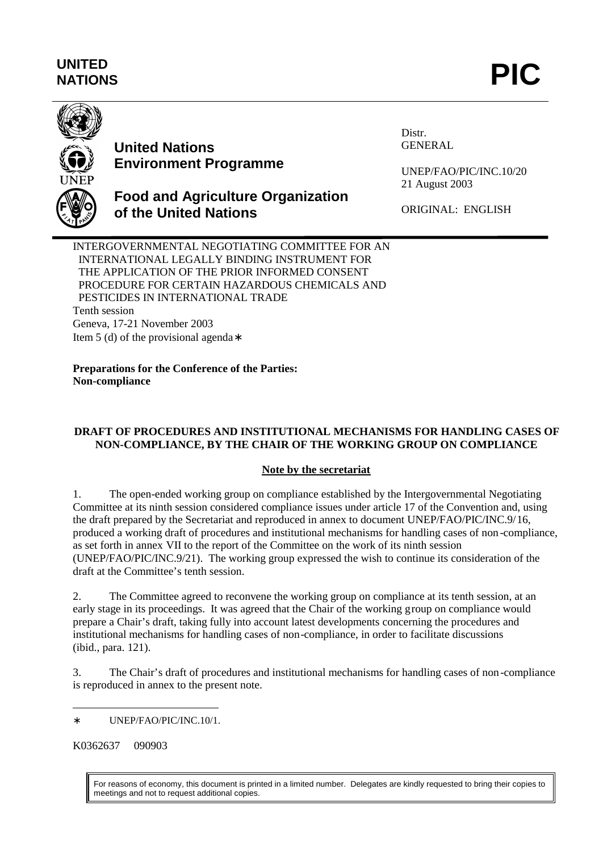# **UNITED** UNITED<br>NATIONS **PIC**



# **United Nations Environment Programme**

**of the United Nations**

Distr. GENERAL

UNEP/FAO/PIC/INC.10/20 21 August 2003

ORIGINAL: ENGLISH

INTERGOVERNMENTAL NEGOTIATING COMMITTEE FOR AN INTERNATIONAL LEGALLY BINDING INSTRUMENT FOR THE APPLICATION OF THE PRIOR INFORMED CONSENT PROCEDURE FOR CERTAIN HAZARDOUS CHEMICALS AND PESTICIDES IN INTERNATIONAL TRADE Tenth session Geneva, 17-21 November 2003 Item 5 (d) of the provisional agenda∗

**Food and Agriculture Organization**

**Preparations for the Conference of the Parties: Non-compliance**

## **DRAFT OF PROCEDURES AND INSTITUTIONAL MECHANISMS FOR HANDLING CASES OF NON-COMPLIANCE, BY THE CHAIR OF THE WORKING GROUP ON COMPLIANCE**

## **Note by the secretariat**

1. The open-ended working group on compliance established by the Intergovernmental Negotiating Committee at its ninth session considered compliance issues under article 17 of the Convention and, using the draft prepared by the Secretariat and reproduced in annex to document UNEP/FAO/PIC/INC.9/16, produced a working draft of procedures and institutional mechanisms for handling cases of non -compliance, as set forth in annex VII to the report of the Committee on the work of its ninth session (UNEP/FAO/PIC/INC.9/21). The working group expressed the wish to continue its consideration of the draft at the Committee's tenth session.

2. The Committee agreed to reconvene the working group on compliance at its tenth session, at an early stage in its proceedings. It was agreed that the Chair of the working group on compliance would prepare a Chair's draft, taking fully into account latest developments concerning the procedures and institutional mechanisms for handling cases of non-compliance, in order to facilitate discussions (ibid., para. 121).

3. The Chair's draft of procedures and institutional mechanisms for handling cases of non-compliance is reproduced in annex to the present note.

K0362637 090903

For reasons of economy, this document is printed in a limited number. Delegates are kindly requested to bring their copies to meetings and not to request additional copies.

 $\overline{a}$ ∗ UNEP/FAO/PIC/INC.10/1.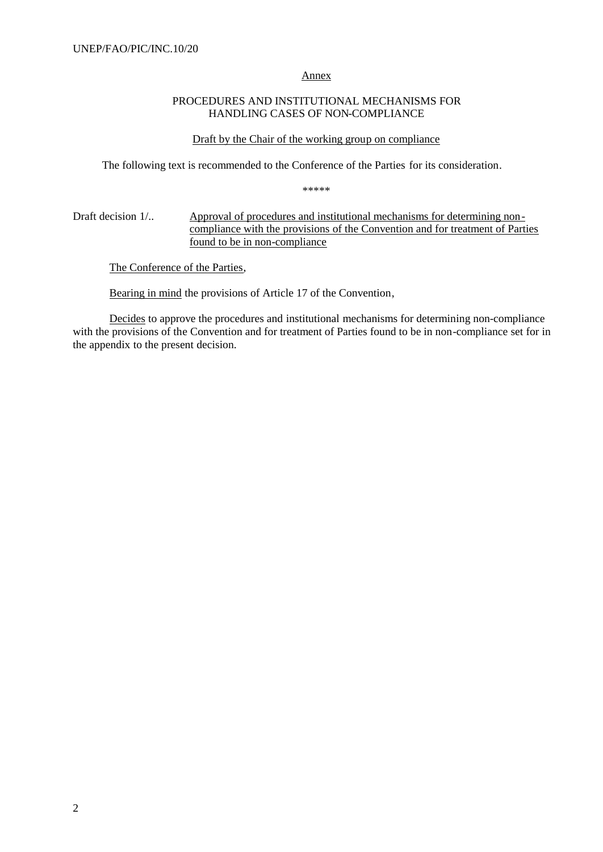#### Annex

## PROCEDURES AND INSTITUTIONAL MECHANISMS FOR HANDLING CASES OF NON-COMPLIANCE

#### Draft by the Chair of the working group on compliance

The following text is recommended to the Conference of the Parties for its consideration.

\*\*\*\*\*

### Draft decision 1/.. Approval of procedures and institutional mechanisms for determining noncompliance with the provisions of the Convention and for treatment of Parties found to be in non-compliance

The Conference of the Parties,

Bearing in mind the provisions of Article 17 of the Convention,

Decides to approve the procedures and institutional mechanisms for determining non-compliance with the provisions of the Convention and for treatment of Parties found to be in non-compliance set for in the appendix to the present decision.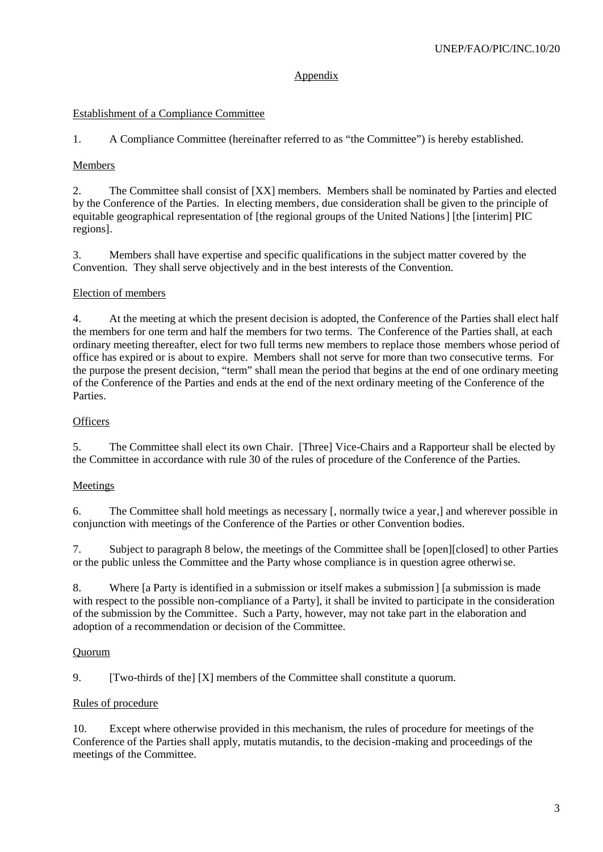## Appendix

## Establishment of a Compliance Committee

1. A Compliance Committee (hereinafter referred to as "the Committee") is hereby established.

## Members

2. The Committee shall consist of [XX] members. Members shall be nominated by Parties and elected by the Conference of the Parties. In electing members, due consideration shall be given to the principle of equitable geographical representation of [the regional groups of the United Nations] [the [interim] PIC regions].

3. Members shall have expertise and specific qualifications in the subject matter covered by the Convention. They shall serve objectively and in the best interests of the Convention.

## Election of members

4. At the meeting at which the present decision is adopted, the Conference of the Parties shall elect half the members for one term and half the members for two terms. The Conference of the Parties shall, at each ordinary meeting thereafter, elect for two full terms new members to replace those members whose period of office has expired or is about to expire. Members shall not serve for more than two consecutive terms. For the purpose the present decision, "term" shall mean the period that begins at the end of one ordinary meeting of the Conference of the Parties and ends at the end of the next ordinary meeting of the Conference of the Parties.

## **Officers**

5. The Committee shall elect its own Chair. [Three] Vice-Chairs and a Rapporteur shall be elected by the Committee in accordance with rule 30 of the rules of procedure of the Conference of the Parties.

## **Meetings**

6. The Committee shall hold meetings as necessary [, normally twice a year,] and wherever possible in conjunction with meetings of the Conference of the Parties or other Convention bodies.

7. Subject to paragraph 8 below, the meetings of the Committee shall be [open][closed] to other Parties or the public unless the Committee and the Party whose compliance is in question agree otherwise.

8. Where [a Party is identified in a submission or itself makes a submission ] [a submission is made with respect to the possible non-compliance of a Party], it shall be invited to participate in the consideration of the submission by the Committee. Such a Party, however, may not take part in the elaboration and adoption of a recommendation or decision of the Committee.

#### Quorum

9. [Two-thirds of the] [X] members of the Committee shall constitute a quorum.

## Rules of procedure

10. Except where otherwise provided in this mechanism, the rules of procedure for meetings of the Conference of the Parties shall apply, mutatis mutandis, to the decision-making and proceedings of the meetings of the Committee.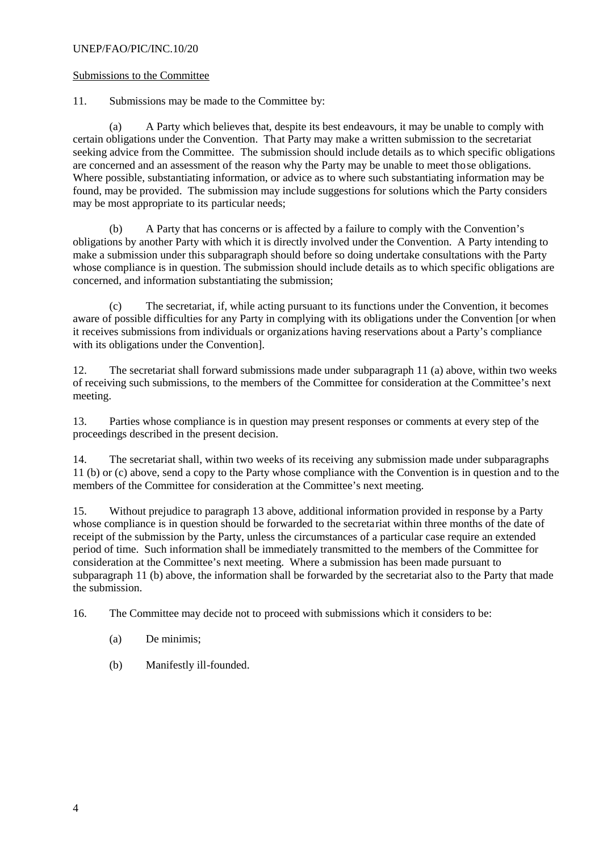#### UNEP/FAO/PIC/INC.10/20

#### Submissions to the Committee

11. Submissions may be made to the Committee by:

(a) A Party which believes that, despite its best endeavours, it may be unable to comply with certain obligations under the Convention. That Party may make a written submission to the secretariat seeking advice from the Committee. The submission should include details as to which specific obligations are concerned and an assessment of the reason why the Party may be unable to meet those obligations. Where possible, substantiating information, or advice as to where such substantiating information may be found, may be provided. The submission may include suggestions for solutions which the Party considers may be most appropriate to its particular needs;

(b) A Party that has concerns or is affected by a failure to comply with the Convention's obligations by another Party with which it is directly involved under the Convention. A Party intending to make a submission under this subparagraph should before so doing undertake consultations with the Party whose compliance is in question. The submission should include details as to which specific obligations are concerned, and information substantiating the submission;

(c) The secretariat, if, while acting pursuant to its functions under the Convention, it becomes aware of possible difficulties for any Party in complying with its obligations under the Convention [or when it receives submissions from individuals or organizations having reservations about a Party's compliance with its obligations under the Convention].

12. The secretariat shall forward submissions made under subparagraph 11 (a) above, within two weeks of receiving such submissions, to the members of the Committee for consideration at the Committee's next meeting.

13. Parties whose compliance is in question may present responses or comments at every step of the proceedings described in the present decision.

14. The secretariat shall, within two weeks of its receiving any submission made under subparagraphs 11 (b) or (c) above, send a copy to the Party whose compliance with the Convention is in question and to the members of the Committee for consideration at the Committee's next meeting.

15. Without prejudice to paragraph 13 above, additional information provided in response by a Party whose compliance is in question should be forwarded to the secretariat within three months of the date of receipt of the submission by the Party, unless the circumstances of a particular case require an extended period of time. Such information shall be immediately transmitted to the members of the Committee for consideration at the Committee's next meeting. Where a submission has been made pursuant to subparagraph 11 (b) above, the information shall be forwarded by the secretariat also to the Party that made the submission.

16. The Committee may decide not to proceed with submissions which it considers to be:

- (a) De minimis;
- (b) Manifestly ill-founded.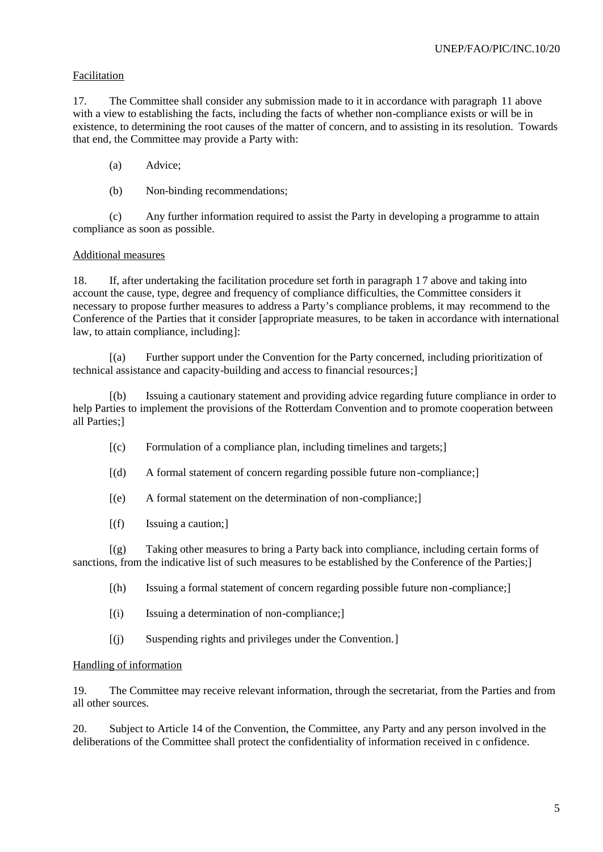#### Facilitation

17. The Committee shall consider any submission made to it in accordance with paragraph 11 above with a view to establishing the facts, including the facts of whether non-compliance exists or will be in existence, to determining the root causes of the matter of concern, and to assisting in its resolution. Towards that end, the Committee may provide a Party with:

- (a) Advice;
- (b) Non-binding recommendations;

(c) Any further information required to assist the Party in developing a programme to attain compliance as soon as possible.

#### Additional measures

18. If, after undertaking the facilitation procedure set forth in paragraph 1 7 above and taking into account the cause, type, degree and frequency of compliance difficulties, the Committee considers it necessary to propose further measures to address a Party's compliance problems, it may recommend to the Conference of the Parties that it consider [appropriate measures, to be taken in accordance with international law, to attain compliance, including]:

[(a) Further support under the Convention for the Party concerned, including prioritization of technical assistance and capacity-building and access to financial resources;]

[(b) Issuing a cautionary statement and providing advice regarding future compliance in order to help Parties to implement the provisions of the Rotterdam Convention and to promote cooperation between all Parties;]

- $[(c)$  Formulation of a compliance plan, including timelines and targets;
- [(d) A formal statement of concern regarding possible future non-compliance;]
- [(e) A formal statement on the determination of non-compliance;]
- [(f) Issuing a caution;]

[(g) Taking other measures to bring a Party back into compliance, including certain forms of sanctions, from the indicative list of such measures to be established by the Conference of the Parties;]

- [(h) Issuing a formal statement of concern regarding possible future non-compliance;]
- [(i) Issuing a determination of non-compliance;]
- [(j) Suspending rights and privileges under the Convention.]

#### Handling of information

19. The Committee may receive relevant information, through the secretariat, from the Parties and from all other sources.

20. Subject to Article 14 of the Convention, the Committee, any Party and any person involved in the deliberations of the Committee shall protect the confidentiality of information received in c onfidence.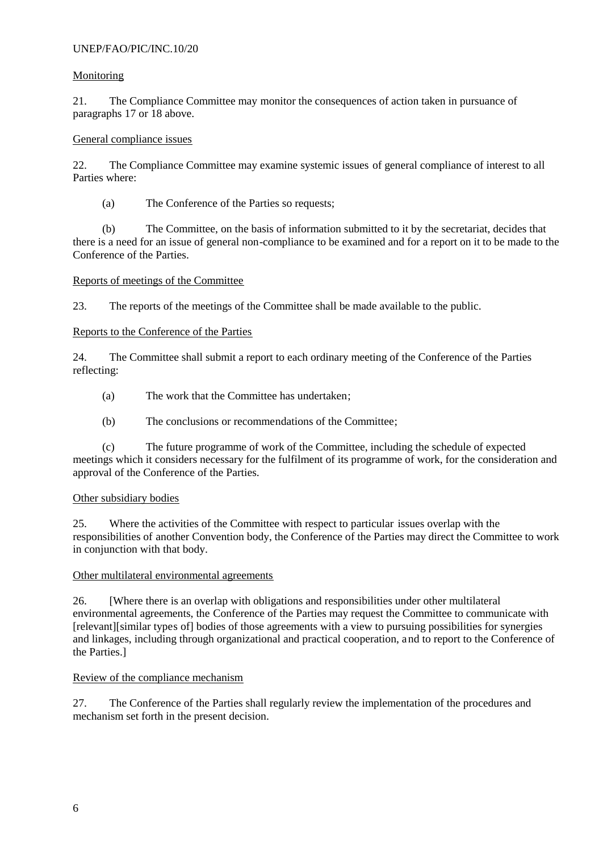## UNEP/FAO/PIC/INC.10/20

#### Monitoring

21. The Compliance Committee may monitor the consequences of action taken in pursuance of paragraphs 17 or 18 above.

## General compliance issues

22. The Compliance Committee may examine systemic issues of general compliance of interest to all Parties where:

(a) The Conference of the Parties so requests;

(b) The Committee, on the basis of information submitted to it by the secretariat, decides that there is a need for an issue of general non-compliance to be examined and for a report on it to be made to the Conference of the Parties.

## Reports of meetings of the Committee

23. The reports of the meetings of the Committee shall be made available to the public.

## Reports to the Conference of the Parties

24. The Committee shall submit a report to each ordinary meeting of the Conference of the Parties reflecting:

- (a) The work that the Committee has undertaken;
- (b) The conclusions or recommendations of the Committee;

(c) The future programme of work of the Committee, including the schedule of expected meetings which it considers necessary for the fulfilment of its programme of work, for the consideration and approval of the Conference of the Parties.

#### Other subsidiary bodies

25. Where the activities of the Committee with respect to particular issues overlap with the responsibilities of another Convention body, the Conference of the Parties may direct the Committee to work in conjunction with that body.

#### Other multilateral environmental agreements

26. [Where there is an overlap with obligations and responsibilities under other multilateral environmental agreements, the Conference of the Parties may request the Committee to communicate with [relevant][similar types of] bodies of those agreements with a view to pursuing possibilities for synergies and linkages, including through organizational and practical cooperation, and to report to the Conference of the Parties.]

#### Review of the compliance mechanism

27. The Conference of the Parties shall regularly review the implementation of the procedures and mechanism set forth in the present decision.